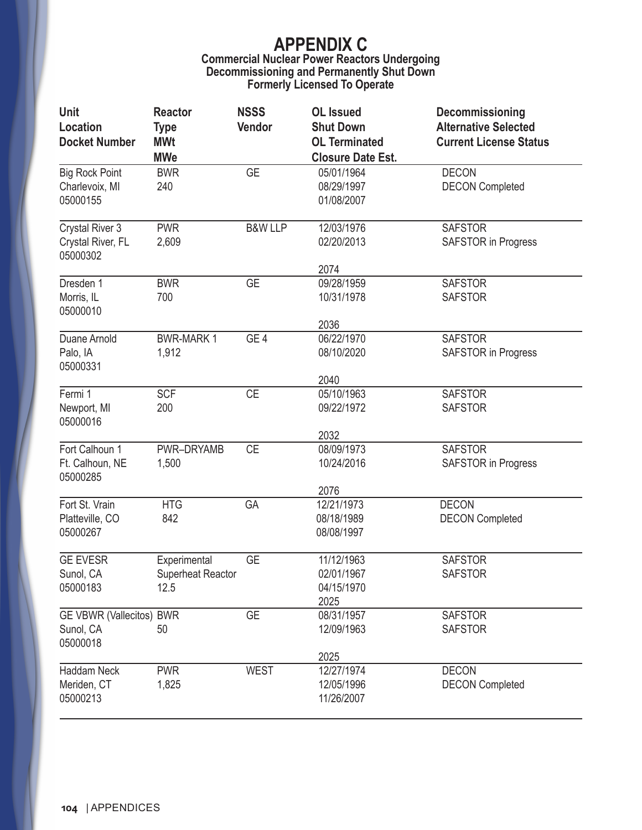#### **Commercial Nuclear Power Reactors Undergoing Decommissioning and Permanently Shut Down Formerly Licensed To Operate**

| <b>Unit</b><br>Location<br><b>Docket Number</b>         | <b>Reactor</b><br><b>Type</b><br><b>MWt</b><br><b>MWe</b> | <b>NSSS</b><br>Vendor | <b>OL</b> Issued<br><b>Shut Down</b><br><b>OL Terminated</b><br><b>Closure Date Est.</b> | Decommissioning<br><b>Alternative Selected</b><br><b>Current License Status</b> |
|---------------------------------------------------------|-----------------------------------------------------------|-----------------------|------------------------------------------------------------------------------------------|---------------------------------------------------------------------------------|
| <b>Big Rock Point</b><br>Charlevoix, MI<br>05000155     | <b>BWR</b><br>240                                         | <b>GE</b>             | 05/01/1964<br>08/29/1997<br>01/08/2007                                                   | <b>DECON</b><br><b>DECON Completed</b>                                          |
| <b>Crystal River 3</b><br>Crystal River, FL<br>05000302 | <b>PWR</b><br>2,609                                       | <b>B&amp;W LLP</b>    | 12/03/1976<br>02/20/2013                                                                 | <b>SAFSTOR</b><br><b>SAFSTOR</b> in Progress                                    |
| Dresden 1<br>Morris, IL<br>05000010                     | <b>BWR</b><br>700                                         | <b>GE</b>             | 2074<br>09/28/1959<br>10/31/1978<br>2036                                                 | <b>SAFSTOR</b><br><b>SAFSTOR</b>                                                |
| Duane Arnold<br>Palo, IA<br>05000331                    | <b>BWR-MARK1</b><br>1,912                                 | GE <sub>4</sub>       | 06/22/1970<br>08/10/2020<br>2040                                                         | <b>SAFSTOR</b><br><b>SAFSTOR</b> in Progress                                    |
| Fermi 1<br>Newport, MI<br>05000016                      | <b>SCF</b><br>200                                         | <b>CE</b>             | 05/10/1963<br>09/22/1972<br>2032                                                         | <b>SAFSTOR</b><br><b>SAFSTOR</b>                                                |
| Fort Calhoun 1<br>Ft. Calhoun, NE<br>05000285           | PWR-DRYAMB<br>1,500                                       | <b>CE</b>             | 08/09/1973<br>10/24/2016<br>2076                                                         | <b>SAFSTOR</b><br><b>SAFSTOR</b> in Progress                                    |
| Fort St. Vrain<br>Platteville, CO<br>05000267           | <b>HTG</b><br>842                                         | GA                    | 12/21/1973<br>08/18/1989<br>08/08/1997                                                   | <b>DECON</b><br><b>DECON Completed</b>                                          |
| <b>GE EVESR</b><br>Sunol, CA<br>05000183                | Experimental<br><b>Superheat Reactor</b><br>12.5          | <b>GE</b>             | 11/12/1963<br>02/01/1967<br>04/15/1970<br>2025                                           | <b>SAFSTOR</b><br><b>SAFSTOR</b>                                                |
| GE VBWR (Vallecitos) BWR<br>Sunol, CA<br>05000018       | 50                                                        | <b>GE</b>             | 08/31/1957<br>12/09/1963<br>2025                                                         | <b>SAFSTOR</b><br><b>SAFSTOR</b>                                                |
| Haddam Neck<br>Meriden, CT<br>05000213                  | <b>PWR</b><br>1,825                                       | <b>WEST</b>           | 12/27/1974<br>12/05/1996<br>11/26/2007                                                   | <b>DECON</b><br><b>DECON Completed</b>                                          |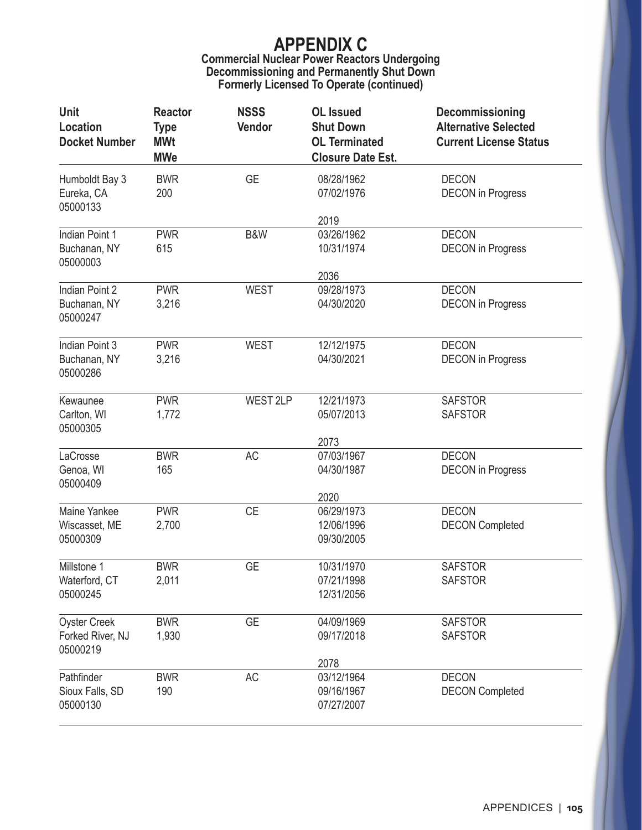### **Commercial Nuclear Power Reactors Undergoing Decommissioning and Permanently Shut Down Formerly Licensed To Operate (continued)**

| <b>Unit</b><br>Location<br><b>Docket Number</b>     | <b>Reactor</b><br><b>Type</b><br><b>MWt</b><br><b>MWe</b> | <b>NSSS</b><br>Vendor | <b>OL</b> Issued<br><b>Shut Down</b><br><b>OL Terminated</b><br><b>Closure Date Est.</b> | Decommissioning<br><b>Alternative Selected</b><br><b>Current License Status</b> |
|-----------------------------------------------------|-----------------------------------------------------------|-----------------------|------------------------------------------------------------------------------------------|---------------------------------------------------------------------------------|
| Humboldt Bay 3<br>Eureka, CA<br>05000133            | <b>BWR</b><br>200                                         | <b>GE</b>             | 08/28/1962<br>07/02/1976                                                                 | <b>DECON</b><br><b>DECON</b> in Progress                                        |
|                                                     |                                                           |                       | 2019                                                                                     |                                                                                 |
| Indian Point 1<br>Buchanan, NY<br>05000003          | <b>PWR</b><br>615                                         | B&W                   | 03/26/1962<br>10/31/1974                                                                 | <b>DECON</b><br><b>DECON</b> in Progress                                        |
|                                                     |                                                           |                       | 2036                                                                                     |                                                                                 |
| Indian Point 2<br>Buchanan, NY<br>05000247          | <b>PWR</b><br>3,216                                       | <b>WEST</b>           | 09/28/1973<br>04/30/2020                                                                 | <b>DECON</b><br><b>DECON</b> in Progress                                        |
| Indian Point 3<br>Buchanan, NY<br>05000286          | <b>PWR</b><br>3,216                                       | <b>WEST</b>           | 12/12/1975<br>04/30/2021                                                                 | <b>DECON</b><br><b>DECON</b> in Progress                                        |
| Kewaunee<br>Carlton, WI<br>05000305                 | <b>PWR</b><br>1,772                                       | WEST 2LP              | 12/21/1973<br>05/07/2013<br>2073                                                         | <b>SAFSTOR</b><br><b>SAFSTOR</b>                                                |
| LaCrosse<br>Genoa, WI<br>05000409                   | <b>BWR</b><br>165                                         | AC                    | 07/03/1967<br>04/30/1987                                                                 | <b>DECON</b><br><b>DECON</b> in Progress                                        |
|                                                     |                                                           |                       | 2020                                                                                     |                                                                                 |
| Maine Yankee<br>Wiscasset, ME<br>05000309           | <b>PWR</b><br>2,700                                       | <b>CE</b>             | 06/29/1973<br>12/06/1996<br>09/30/2005                                                   | <b>DECON</b><br><b>DECON Completed</b>                                          |
| Millstone 1<br>Waterford, CT<br>05000245            | <b>BWR</b><br>2,011                                       | <b>GE</b>             | 10/31/1970<br>07/21/1998<br>12/31/2056                                                   | <b>SAFSTOR</b><br><b>SAFSTOR</b>                                                |
| <b>Oyster Creek</b><br>Forked River, NJ<br>05000219 | <b>BWR</b><br>1,930                                       | <b>GE</b>             | 04/09/1969<br>09/17/2018                                                                 | <b>SAFSTOR</b><br><b>SAFSTOR</b>                                                |
| Pathfinder<br>Sioux Falls, SD<br>05000130           | <b>BWR</b><br>190                                         | AC                    | 2078<br>03/12/1964<br>09/16/1967<br>07/27/2007                                           | <b>DECON</b><br><b>DECON Completed</b>                                          |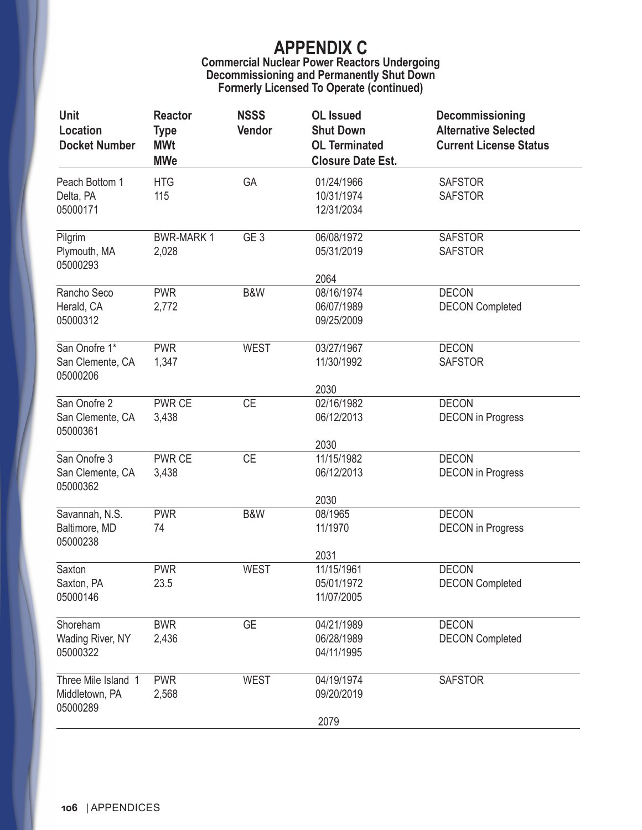### **Commercial Nuclear Power Reactors Undergoing Decommissioning and Permanently Shut Down Formerly Licensed To Operate (continued)**

| Unit<br>Location<br><b>Docket Number</b>          | <b>Reactor</b><br><b>Type</b><br><b>MWt</b><br><b>MWe</b> | <b>NSSS</b><br>Vendor | <b>OL</b> Issued<br><b>Shut Down</b><br><b>OL Terminated</b><br><b>Closure Date Est.</b> | Decommissioning<br><b>Alternative Selected</b><br><b>Current License Status</b> |
|---------------------------------------------------|-----------------------------------------------------------|-----------------------|------------------------------------------------------------------------------------------|---------------------------------------------------------------------------------|
| Peach Bottom 1<br>Delta, PA<br>05000171           | <b>HTG</b><br>115                                         | GA                    | 01/24/1966<br>10/31/1974<br>12/31/2034                                                   | <b>SAFSTOR</b><br><b>SAFSTOR</b>                                                |
| Pilgrim<br>Plymouth, MA<br>05000293               | <b>BWR-MARK1</b><br>2,028                                 | GE <sub>3</sub>       | 06/08/1972<br>05/31/2019<br>2064                                                         | <b>SAFSTOR</b><br><b>SAFSTOR</b>                                                |
| Rancho Seco<br>Herald, CA<br>05000312             | <b>PWR</b><br>2,772                                       | B&W                   | 08/16/1974<br>06/07/1989<br>09/25/2009                                                   | <b>DECON</b><br><b>DECON Completed</b>                                          |
| San Onofre 1*<br>San Clemente, CA<br>05000206     | <b>PWR</b><br>1,347                                       | <b>WEST</b>           | 03/27/1967<br>11/30/1992                                                                 | <b>DECON</b><br><b>SAFSTOR</b>                                                  |
| San Onofre 2<br>San Clemente, CA<br>05000361      | <b>PWR CE</b><br>3,438                                    | <b>CE</b>             | 2030<br>02/16/1982<br>06/12/2013<br>2030                                                 | <b>DECON</b><br><b>DECON</b> in Progress                                        |
| San Onofre 3<br>San Clemente, CA<br>05000362      | PWR CE<br>3,438                                           | <b>CE</b>             | 11/15/1982<br>06/12/2013<br>2030                                                         | <b>DECON</b><br><b>DECON</b> in Progress                                        |
| Savannah, N.S.<br>Baltimore, MD<br>05000238       | <b>PWR</b><br>74                                          | B&W                   | 08/1965<br>11/1970                                                                       | <b>DECON</b><br><b>DECON</b> in Progress                                        |
| Saxton<br>Saxton, PA<br>05000146                  | <b>PWR</b><br>23.5                                        | <b>WEST</b>           | 2031<br>11/15/1961<br>05/01/1972<br>11/07/2005                                           | <b>DECON</b><br><b>DECON Completed</b>                                          |
| Shoreham<br>Wading River, NY<br>05000322          | <b>BWR</b><br>2,436                                       | <b>GE</b>             | 04/21/1989<br>06/28/1989<br>04/11/1995                                                   | <b>DECON</b><br><b>DECON Completed</b>                                          |
| Three Mile Island 1<br>Middletown, PA<br>05000289 | <b>PWR</b><br>2,568                                       | <b>WEST</b>           | 04/19/1974<br>09/20/2019<br>2079                                                         | <b>SAFSTOR</b>                                                                  |